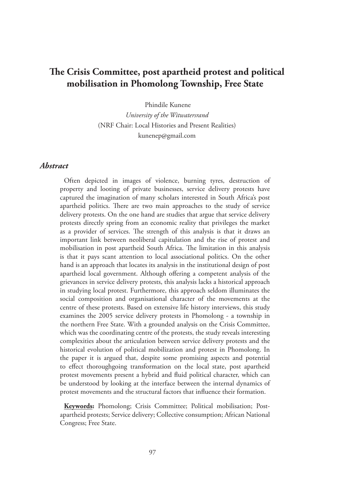# **The Crisis Committee, post apartheid protest and political mobilisation in Phomolong Township, Free State**

Phindile Kunene

*University of the Witwatersrand* (NRF Chair: Local Histories and Present Realities) kunenep@gmail.com

## *Abstract*

Often depicted in images of violence, burning tyres, destruction of property and looting of private businesses, service delivery protests have captured the imagination of many scholars interested in South Africa's post apartheid politics. There are two main approaches to the study of service delivery protests. On the one hand are studies that argue that service delivery protests directly spring from an economic reality that privileges the market as a provider of services. The strength of this analysis is that it draws an important link between neoliberal capitulation and the rise of protest and mobilisation in post apartheid South Africa. The limitation in this analysis is that it pays scant attention to local associational politics. On the other hand is an approach that locates its analysis in the institutional design of post apartheid local government. Although offering a competent analysis of the grievances in service delivery protests, this analysis lacks a historical approach in studying local protest. Furthermore, this approach seldom illuminates the social composition and organisational character of the movements at the centre of these protests. Based on extensive life history interviews, this study examines the 2005 service delivery protests in Phomolong - a township in the northern Free State. With a grounded analysis on the Crisis Committee, which was the coordinating centre of the protests, the study reveals interesting complexities about the articulation between service delivery protests and the historical evolution of political mobilization and protest in Phomolong. In the paper it is argued that, despite some promising aspects and potential to effect thoroughgoing transformation on the local state, post apartheid protest movements present a hybrid and fluid political character, which can be understood by looking at the interface between the internal dynamics of protest movements and the structural factors that influence their formation.

**Keywords:** Phomolong; Crisis Committee; Political mobilisation; Postapartheid protests; Service delivery; Collective consumption; African National Congress; Free State.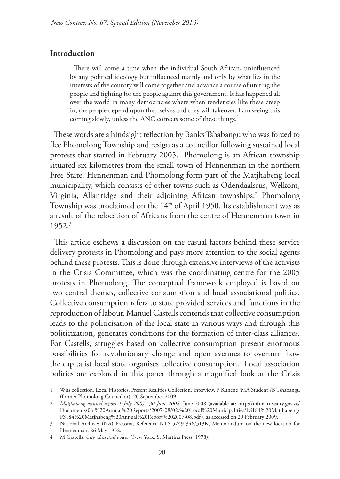#### **Introduction**

There will come a time when the individual South African, uninfluenced by any political ideology but influenced mainly and only by what lies in the interests of the country will come together and advance a course of uniting the people and fighting for the people against this government. It has happened all over the world in many democracies where when tendencies like these creep in, the people depend upon themselves and they will takeover. I am seeing this coming slowly, unless the ANC corrects some of these things.<sup>1</sup>

These words are a hindsight reflection by Banks Tshabangu who was forced to flee Phomolong Township and resign as a councillor following sustained local protests that started in February 2005. Phomolong is an African township situated six kilometres from the small town of Hennenman in the northern Free State. Hennenman and Phomolong form part of the Matjhabeng local municipality, which consists of other towns such as Odendaalsrus, Welkom, Virginia, Allanridge and their adjoining African townships.2 Phomolong Township was proclaimed on the  $14<sup>th</sup>$  of April 1950. Its establishment was as a result of the relocation of Africans from the centre of Hennenman town in 1952.3

This article eschews a discussion on the casual factors behind these service delivery protests in Phomolong and pays more attention to the social agents behind these protests. This is done through extensive interviews of the activists in the Crisis Committee, which was the coordinating centre for the 2005 protests in Phomolong. The conceptual framework employed is based on two central themes, collective consumption and local associational politics. Collective consumption refers to state provided services and functions in the reproduction of labour. Manuel Castells contends that collective consumption leads to the politicisation of the local state in various ways and through this politicization, generates conditions for the formation of inter-class alliances. For Castells, struggles based on collective consumption present enormous possibilities for revolutionary change and open avenues to overturn how the capitalist local state organises collective consumption.<sup>4</sup> Local association politics are explored in this paper through a magnified look at the Crisis

<sup>1</sup> Wits collection, Local Histories, Present Realities Collection, Interview, P Kunene (MA Student)/B Tshabangu (former Phomolong Councillor), 20 September 2009.

<sup>2</sup> *Matjhabeng annual report 1 July 2007- 30 June 2008*, June 2008 (available at: http://mfma.treasury.gov.za/ Documents/06.%20Annual%20Reports/2007-08/02.%20Local%20Municipalities/FS184%20Matjhabeng/ FS184%20Matjhabeng%20Annual%20Report%202007-08.pdf), as accessed on 20 February 2009.

<sup>3</sup> National Archives (NA) Pretoria, Reference NTS 5749 346/313K, Memorandum on the new location for Hennenman, 26 May 1952.

<sup>4</sup> M Castells, *City, class and power* (New York, St Martin's Press, 1978).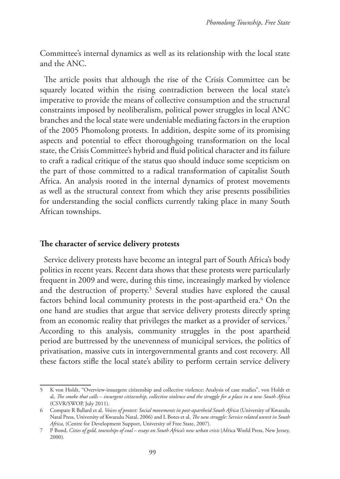Committee's internal dynamics as well as its relationship with the local state and the ANC.

The article posits that although the rise of the Crisis Committee can be squarely located within the rising contradiction between the local state's imperative to provide the means of collective consumption and the structural constraints imposed by neoliberalism, political power struggles in local ANC branches and the local state were undeniable mediating factors in the eruption of the 2005 Phomolong protests. In addition, despite some of its promising aspects and potential to effect thoroughgoing transformation on the local state, the Crisis Committee's hybrid and fluid political character and its failure to craft a radical critique of the status quo should induce some scepticism on the part of those committed to a radical transformation of capitalist South Africa. An analysis rooted in the internal dynamics of protest movements as well as the structural context from which they arise presents possibilities for understanding the social conflicts currently taking place in many South African townships.

## **The character of service delivery protests**

Service delivery protests have become an integral part of South Africa's body politics in recent years. Recent data shows that these protests were particularly frequent in 2009 and were, during this time, increasingly marked by violence and the destruction of property.<sup>5</sup> Several studies have explored the causal factors behind local community protests in the post-apartheid era.6 On the one hand are studies that argue that service delivery protests directly spring from an economic reality that privileges the market as a provider of services.<sup>7</sup> According to this analysis, community struggles in the post apartheid period are buttressed by the unevenness of municipal services, the politics of privatisation, massive cuts in intergovernmental grants and cost recovery. All these factors stifle the local state's ability to perform certain service delivery

<sup>5</sup> K von Holdt, "Overview-insurgent citizenship and collective violence: Analysis of case studies", von Holdt et al, *The smoke that calls – insurgent citizenship, collective violence and the struggle for a place in a new South Africa*  (CSVR/SWOP, July 2011).

<sup>6</sup> Compare R Ballard et al, *Voices of protest: Social movements in post-apartheid South Africa* (University of Kwazulu Natal Press, University of Kwazulu Natal, 2006) and L Botes et al, *The new struggle: Service related unrest in South Africa*, (Centre for Development Support, University of Free State, 2007).

<sup>7</sup> P Bond, *Cities of gold, townships of coal - essays on South Africa's new urban crisis* (Africa World Press, New Jersey, 2000).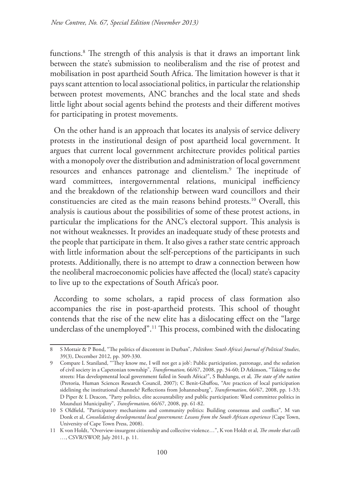functions.8 The strength of this analysis is that it draws an important link between the state's submission to neoliberalism and the rise of protest and mobilisation in post apartheid South Africa. The limitation however is that it pays scant attention to local associational politics, in particular the relationship between protest movements, ANC branches and the local state and sheds little light about social agents behind the protests and their different motives for participating in protest movements.

On the other hand is an approach that locates its analysis of service delivery protests in the institutional design of post apartheid local government. It argues that current local government architecture provides political parties with a monopoly over the distribution and administration of local government resources and enhances patronage and clientelism.9 The ineptitude of ward committees, intergovernmental relations, municipal inefficiency and the breakdown of the relationship between ward councillors and their constituencies are cited as the main reasons behind protests.10 Overall, this analysis is cautious about the possibilities of some of these protest actions, in particular the implications for the ANC's electoral support. This analysis is not without weaknesses. It provides an inadequate study of these protests and the people that participate in them. It also gives a rather state centric approach with little information about the self-perceptions of the participants in such protests. Additionally, there is no attempt to draw a connection between how the neoliberal macroeconomic policies have affected the (local) state's capacity to live up to the expectations of South Africa's poor.

According to some scholars, a rapid process of class formation also accompanies the rise in post-apartheid protests. This school of thought contends that the rise of the new elite has a dislocating effect on the "large underclass of the unemployed".<sup>11</sup> This process, combined with the dislocating

<sup>8</sup> S Mottair & P Bond, "The politics of discontent in Durban", *Politikon: South Africa's Journal of Political Studies*, 39(3), December 2012, pp. 309-330.

<sup>9</sup> Compare L Staniland, "'They know me, I will not get a job': Public participation, patronage, and the sedation of civil society in a Capetonian township", *Transformation,* 66/67, 2008, pp. 34-60; D Atkinson, "Taking to the streets: Has developmental local government failed in South Africa?", S Buhlungu, et al*, The state of the nation* (Pretoria, Human Sciences Research Council, 2007); C Benit-Gbaffou, "Are practices of local participation sidelining the institutional channels? Reflections from Johannesburg", *Transformation*, 66/67, 2008, pp. 1-33; D Piper & L Deacon, "Party politics, elite accountability and public participation: Ward committee politics in Msunduzi Municipality", *Transformation,* 66/67, 2008, pp. 61-82.

<sup>10</sup> S Oldfield, "Participatory mechanisms and community politics: Building consensus and conflict"*,* M van Donk et al, *Consolidating developmental local government: Lessons from the South African experience* (Cape Town, University of Cape Town Press, 2008).

<sup>11</sup> K von Holdt, "Overview-insurgent citizenship and collective violence…", K von Holdt et al, *The smoke that calls …*, CSVR/SWOP, July 2011, p. 11.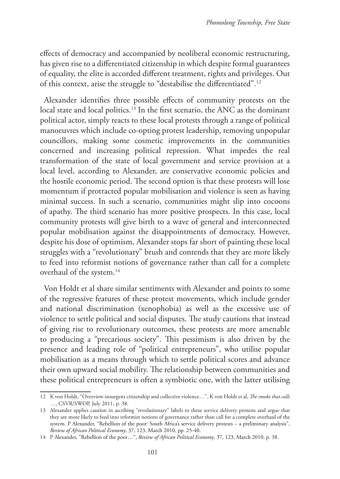effects of democracy and accompanied by neoliberal economic restructuring, has given rise to a differentiated citizenship in which despite formal guarantees of equality, the elite is accorded different treatment, rights and privileges. Out of this context, arise the struggle to "destabilise the differentiated".12

Alexander identifies three possible effects of community protests on the local state and local politics.<sup>13</sup> In the first scenario, the ANC as the dominant political actor, simply reacts to these local protests through a range of political manoeuvres which include co-opting protest leadership, removing unpopular councillors, making some cosmetic improvements in the communities concerned and increasing political repression. What impedes the real transformation of the state of local government and service provision at a local level, according to Alexander, are conservative economic policies and the hostile economic period. The second option is that these protests will lose momentum if protracted popular mobilisation and violence is seen as having minimal success. In such a scenario, communities might slip into cocoons of apathy. The third scenario has more positive prospects. In this case, local community protests will give birth to a wave of general and interconnected popular mobilisation against the disappointments of democracy. However, despite his dose of optimism, Alexander stops far short of painting these local struggles with a "revolutionary" brush and contends that they are more likely to feed into reformist notions of governance rather than call for a complete overhaul of the system.<sup>14</sup>

Von Holdt et al share similar sentiments with Alexander and points to some of the regressive features of these protest movements, which include gender and national discrimination (xenophobia) as well as the excessive use of violence to settle political and social disputes. The study cautions that instead of giving rise to revolutionary outcomes, these protests are more amenable to producing a "precarious society". This pessimism is also driven by the presence and leading role of "political entrepreneurs", who utilise popular mobilisation as a means through which to settle political scores and advance their own upward social mobility. The relationship between communities and these political entrepreneurs is often a symbiotic one, with the latter utilising

<sup>12</sup> K von Holdt, "Overview-insurgent citizenship and collective violence…", K von Holdt et al, *The smoke that calls …*, CSVR/SWOP, July 2011, p. 38.

<sup>13</sup> Alexander applies caution in ascribing "revolutionary" labels to these service delivery protests and argue that they are more likely to feed into reformist notions of governance rather than call for a complete overhaul of the system. P Alexander, "Rebellion of the poor: South Africa's service delivery protests – a preliminary analysis", *Review of African Political Economy*, 37, 123, March 2010, pp. 25-40.

<sup>14</sup> P Alexander, "Rebellion of the poor…", *Review of African Political Economy*, 37, 123, March 2010, p. 38.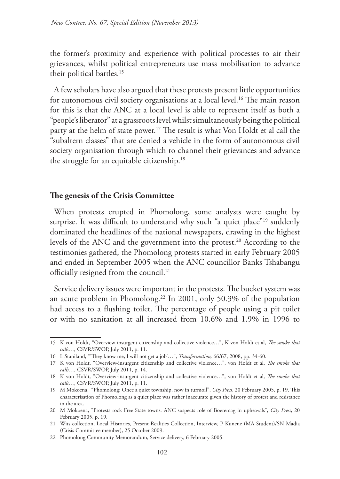the former's proximity and experience with political processes to air their grievances, whilst political entrepreneurs use mass mobilisation to advance their political battles.<sup>15</sup>

A few scholars have also argued that these protests present little opportunities for autonomous civil society organisations at a local level.<sup>16</sup> The main reason for this is that the ANC at a local level is able to represent itself as both a "people's liberator" at a grassroots level whilst simultaneously being the political party at the helm of state power.17 The result is what Von Holdt et al call the "subaltern classes" that are denied a vehicle in the form of autonomous civil society organisation through which to channel their grievances and advance the struggle for an equitable citizenship.18

#### **The genesis of the Crisis Committee**

When protests erupted in Phomolong, some analysts were caught by surprise. It was difficult to understand why such "a quiet place"<sup>19</sup> suddenly dominated the headlines of the national newspapers, drawing in the highest levels of the ANC and the government into the protest.<sup>20</sup> According to the testimonies gathered, the Phomolong protests started in early February 2005 and ended in September 2005 when the ANC councillor Banks Tshabangu officially resigned from the council.<sup>21</sup>

Service delivery issues were important in the protests. The bucket system was an acute problem in Phomolong.22 In 2001, only 50.3% of the population had access to a flushing toilet. The percentage of people using a pit toilet or with no sanitation at all increased from 10.6% and 1.9% in 1996 to

<sup>15</sup> K von Holdt, "Overview-insurgent citizenship and collective violence…", K von Holdt et al, *The smoke that calls…,* CSVR/SWOP, July 2011, p. 11.

<sup>16</sup> L Staniland, "'They know me, I will not get a job'…", *Transformation,* 66/67, 2008, pp. 34-60.

<sup>17</sup> K von Holdt, "Overview-insurgent citizenship and collective violence…", von Holdt et al, *The smoke that calls…,* CSVR/SWOP, July 2011, p. 14.

<sup>18</sup> K von Holdt, "Overview-insurgent citizenship and collective violence…", von Holdt et al, *The smoke that calls…,* CSVR/SWOP, July 2011, p. 11.

<sup>19</sup> M Mokoena, "Phomolong: Once a quiet township, now in turmoil", *City Press*, 20 February 2005, p. 19. This characterisation of Phomolong as a quiet place was rather inaccurate given the history of protest and resistance in the area.

<sup>20</sup> M Mokoena, "Protests rock Free State towns: ANC suspects role of Boeremag in upheavals", *City Press*, 20 February 2005, p. 19.

<sup>21</sup> Wits collection, Local Histories, Present Realities Collection, Interview, P Kunene (MA Student)/SN Madia (Crisis Committee member), 25 October 2009.

<sup>22</sup> Phomolong Community Memorandum, Service delivery, 6 February 2005.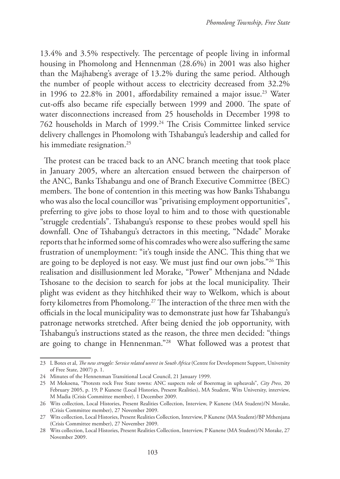13.4% and 3.5% respectively. The percentage of people living in informal housing in Phomolong and Hennenman (28.6%) in 2001 was also higher than the Majhabeng's average of 13.2% during the same period. Although the number of people without access to electricity decreased from 32.2% in 1996 to 22.8% in 2001, affordability remained a major issue.<sup>23</sup> Water cut-offs also became rife especially between 1999 and 2000. The spate of water disconnections increased from 25 households in December 1998 to 762 households in March of 1999.24 The Crisis Committee linked service delivery challenges in Phomolong with Tshabangu's leadership and called for his immediate resignation.<sup>25</sup>

The protest can be traced back to an ANC branch meeting that took place in January 2005, where an altercation ensued between the chairperson of the ANC, Banks Tshabangu and one of Branch Executive Committee (BEC) members. The bone of contention in this meeting was how Banks Tshabangu who was also the local councillor was "privatising employment opportunities", preferring to give jobs to those loyal to him and to those with questionable "struggle credentials". Tshabangu's response to these probes would spell his downfall. One of Tshabangu's detractors in this meeting, "Ndade" Morake reports that he informed some of his comrades who were also suffering the same frustration of unemployment: "it's tough inside the ANC. This thing that we are going to be deployed is not easy. We must just find our own jobs."26 This realisation and disillusionment led Morake, "Power" Mthenjana and Ndade Tshosane to the decision to search for jobs at the local municipality. Their plight was evident as they hitchhiked their way to Welkom, which is about forty kilometres from Phomolong.27 The interaction of the three men with the officials in the local municipality was to demonstrate just how far Tshabangu's patronage networks stretched. After being denied the job opportunity, with Tshabangu's instructions stated as the reason, the three men decided: "things are going to change in Hennenman."28 What followed was a protest that

<sup>23</sup> L Botes et al, *The new struggle: Service related unrest in South Africa* (Centre for Development Support, University of Free State, 2007) p. 1.

<sup>24</sup> Minutes of the Hennenman Transitional Local Council, 21 January 1999.

<sup>25</sup> M Mokoena, "Protests rock Free State towns: ANC suspects role of Boeremag in upheavals", *City Press*, 20 February 2005, p. 19; P Kunene (Local Histories, Present Realities), MA Student, Wits University, interview, M Madia (Crisis Committee member), 1 December 2009.

<sup>26</sup> Wits collection, Local Histories, Present Realities Collection, Interview, P Kunene (MA Student)/N Morake, (Crisis Committee member), 27 November 2009.

<sup>27</sup> Wits collection, Local Histories, Present Realities Collection, Interview, P Kunene (MA Student)/BP Mthenjana (Crisis Committee member), 27 November 2009.

<sup>28</sup> Wits collection, Local Histories, Present Realities Collection, Interview, P Kunene (MA Student)/N Morake, 27 November 2009.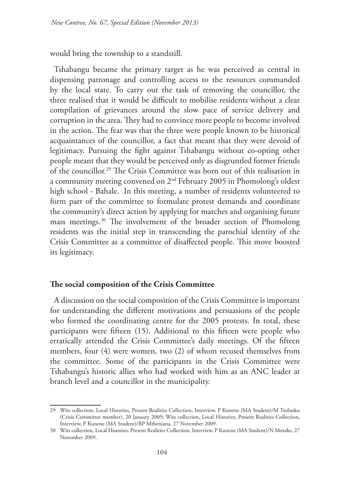would bring the township to a standstill.

Tshabangu became the primary target as he was perceived as central in dispensing patronage and controlling access to the resources commanded by the local state. To carry out the task of removing the councillor, the three realised that it would be difficult to mobilise residents without a clear compilation of grievances around the slow pace of service delivery and corruption in the area. They had to convince more people to become involved in the action. The fear was that the three were people known to be historical acquaintances of the councillor, a fact that meant that they were devoid of legitimacy. Pursuing the fight against Tshabangu without co-opting other people meant that they would be perceived only as disgruntled former friends of the councillor.29 The Crisis Committee was born out of this realisation in a community meeting convened on 2nd February 2005 in Phomolong's oldest high school - Bahale. In this meeting, a number of residents volunteered to form part of the committee to formulate protest demands and coordinate the community's direct action by applying for marches and organising future mass meetings.30 The involvement of the broader section of Phomolong residents was the initial step in transcending the parochial identity of the Crisis Committee as a committee of disaffected people. This move boosted its legitimacy.

#### **The social composition of the Crisis Committee**

A discussion on the social composition of the Crisis Committee is important for understanding the different motivations and persuasions of the people who formed the coordinating centre for the 2005 protests. In total, these participants were fifteen (15). Additional to this fifteen were people who erratically attended the Crisis Committee's daily meetings. Of the fifteen members, four (4) were women, two (2) of whom recused themselves from the committee. Some of the participants in the Crisis Committee were Tshabangu's historic allies who had worked with him as an ANC leader at branch level and a councillor in the municipality.

<sup>29</sup> Wits collection, Local Histories, Present Realities Collection, Interview, P Kunene (MA Student)/M Tsolanku (Crisis Committee member), 20 January 2009; Wits collection, Local Histories, Present Realities Collection, Interview, P Kunene (MA Student)/BP Mthenjana, 27 November 2009.

<sup>30</sup> Wits collection, Local Histories, Present Realities Collection, Interview, P Kunene (MA Student)/N Morake, 27 November 2009.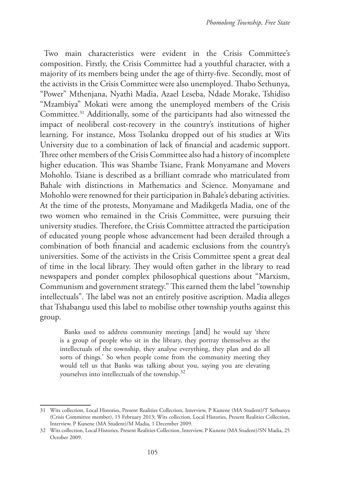Two main characteristics were evident in the Crisis Committee's composition. Firstly, the Crisis Committee had a youthful character, with a majority of its members being under the age of thirty-five. Secondly, most of the activists in the Crisis Committee were also unemployed. Thabo Sethunya, "Power" Mthenjana, Nyathi Madia, Azael Leseba, Ndade Morake, Tshidiso "Mzambiya" Mokati were among the unemployed members of the Crisis Committee.31 Additionally, some of the participants had also witnessed the impact of neoliberal cost-recovery in the country's institutions of higher learning. For instance, Moss Tsolanku dropped out of his studies at Wits University due to a combination of lack of financial and academic support. Three other members of the Crisis Committee also had a history of incomplete higher education. This was Shambe Tsiane, Frank Monyamane and Movers Mohohlo. Tsiane is described as a brilliant comrade who matriculated from Bahale with distinctions in Mathematics and Science. Monyamane and Mohohlo were renowned for their participation in Bahale's debating activities. At the time of the protests, Monyamane and Madikgetla Madia, one of the two women who remained in the Crisis Committee, were pursuing their university studies. Therefore, the Crisis Committee attracted the participation of educated young people whose advancement had been derailed through a combination of both financial and academic exclusions from the country's universities. Some of the activists in the Crisis Committee spent a great deal of time in the local library. They would often gather in the library to read newspapers and ponder complex philosophical questions about "Marxism, Communism and government strategy." This earned them the label "township intellectuals". The label was not an entirely positive ascription. Madia alleges that Tshabangu used this label to mobilise other township youths against this group.

Banks used to address community meetings [and] he would say 'there is a group of people who sit in the library, they portray themselves as the intellectuals of the township, they analyse everything, they plan and do all sorts of things.' So when people come from the community meeting they would tell us that Banks was talking about you, saying you are elevating yourselves into intellectuals of the township.<sup>32</sup>

<sup>31</sup> Wits collection, Local Histories, Present Realities Collection, Interview, P Kunene (MA Student)/T Sethunya (Crisis Committee member), 15 February 2013; Wits collection, Local Histories, Present Realities Collection, Interview, P Kunene (MA Student)/M Madia, 1 December 2009.

<sup>32</sup> Wits collection, Local Histories, Present Realities Collection, Interview, P Kunene (MA Student)/SN Madia, 25 October 2009.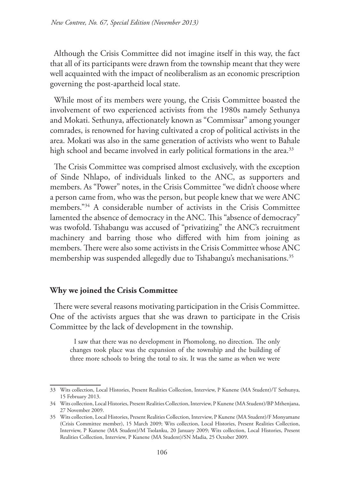Although the Crisis Committee did not imagine itself in this way, the fact that all of its participants were drawn from the township meant that they were well acquainted with the impact of neoliberalism as an economic prescription governing the post-apartheid local state.

While most of its members were young, the Crisis Committee boasted the involvement of two experienced activists from the 1980s namely Sethunya and Mokati. Sethunya, affectionately known as "Commissar" among younger comrades, is renowned for having cultivated a crop of political activists in the area. Mokati was also in the same generation of activists who went to Bahale high school and became involved in early political formations in the area.<sup>33</sup>

The Crisis Committee was comprised almost exclusively, with the exception of Sinde Nhlapo, of individuals linked to the ANC, as supporters and members. As "Power" notes, in the Crisis Committee "we didn't choose where a person came from, who was the person, but people knew that we were ANC members."34 A considerable number of activists in the Crisis Committee lamented the absence of democracy in the ANC. This "absence of democracy" was twofold. Tshabangu was accused of "privatizing" the ANC's recruitment machinery and barring those who differed with him from joining as members. There were also some activists in the Crisis Committee whose ANC membership was suspended allegedly due to Tshabangu's mechanisations.<sup>35</sup>

# **Why we joined the Crisis Committee**

There were several reasons motivating participation in the Crisis Committee. One of the activists argues that she was drawn to participate in the Crisis Committee by the lack of development in the township.

I saw that there was no development in Phomolong, no direction. The only changes took place was the expansion of the township and the building of three more schools to bring the total to six. It was the same as when we were

<sup>33</sup> Wits collection, Local Histories, Present Realities Collection, Interview, P Kunene (MA Student)/T Sethunya, 15 February 2013.

<sup>34</sup> Wits collection, Local Histories, Present Realities Collection, Interview, P Kunene (MA Student)/BP Mthenjana, 27 November 2009.

<sup>35</sup> Wits collection, Local Histories, Present Realities Collection, Interview, P Kunene (MA Student)/F Monyamane (Crisis Committee member), 15 March 2009; Wits collection, Local Histories, Present Realities Collection, Interview, P Kunene (MA Student)/M Tsolanku, 20 January 2009; Wits collection, Local Histories, Present Realities Collection, Interview, P Kunene (MA Student)/SN Madia, 25 October 2009.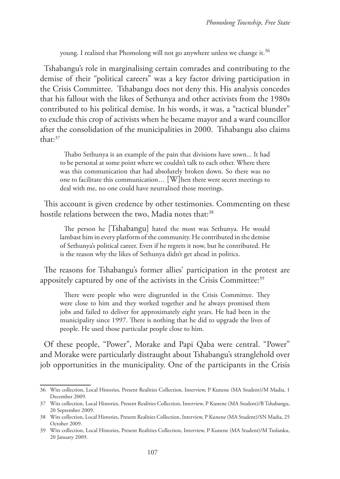young. I realised that Phomolong will not go anywhere unless we change it.<sup>36</sup>

Tshabangu's role in marginalising certain comrades and contributing to the demise of their "political careers" was a key factor driving participation in the Crisis Committee. Tshabangu does not deny this. His analysis concedes that his fallout with the likes of Sethunya and other activists from the 1980s contributed to his political demise. In his words, it was, a "tactical blunder" to exclude this crop of activists when he became mayor and a ward councillor after the consolidation of the municipalities in 2000. Tshabangu also claims that:37

Thabo Sethunya is an example of the pain that divisions have sown... It had to be personal at some point where we couldn't talk to each other. Where there was this communication that had absolutely broken down. So there was no one to facilitate this communication… [W]hen there were secret meetings to deal with me, no one could have neutralised those meetings.

This account is given credence by other testimonies. Commenting on these hostile relations between the two, Madia notes that:<sup>38</sup>

The person he [Tshabangu] hated the most was Sethunya. He would lambast him in every platform of the community. He contributed in the demise of Sethunya's political career. Even if he regrets it now, but he contributed. He is the reason why the likes of Sethunya didn't get ahead in politics.

The reasons for Tshabangu's former allies' participation in the protest are appositely captured by one of the activists in the Crisis Committee:<sup>39</sup>

There were people who were disgruntled in the Crisis Committee. They were close to him and they worked together and he always promised them jobs and failed to deliver for approximately eight years. He had been in the municipality since 1997. There is nothing that he did to upgrade the lives of people. He used those particular people close to him.

Of these people, "Power", Morake and Papi Qaba were central. "Power" and Morake were particularly distraught about Tshabangu's stranglehold over job opportunities in the municipality. One of the participants in the Crisis

<sup>36</sup> Wits collection, Local Histories, Present Realities Collection, Interview, P Kunene (MA Student)/M Madia, 1 December 2009.

<sup>37</sup> Wits collection, Local Histories, Present Realities Collection, Interview, P Kunene (MA Student)/B Tshabangu, 20 September 2009.

<sup>38</sup> Wits collection, Local Histories, Present Realities Collection, Interview, P Kunene (MA Student)/SN Madia, 25 October 2009.

<sup>39</sup> Wits collection, Local Histories, Present Realities Collection, Interview, P Kunene (MA Student)/M Tsolanku, 20 January 2009.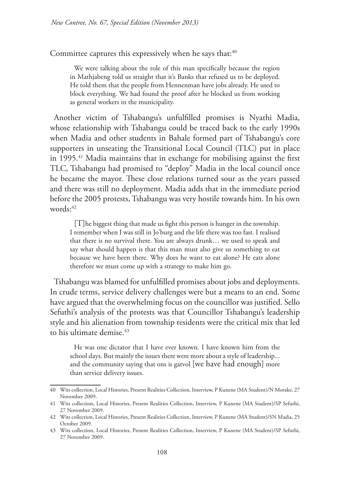Committee captures this expressively when he says that:<sup>40</sup>

We were talking about the role of this man specifically because the region in Mathjabeng told us straight that it's Banks that refused us to be deployed. He told them that the people from Hennenman have jobs already. He used to block everything. We had found the proof after he blocked us from working as general workers in the municipality.

Another victim of Tshabangu's unfulfilled promises is Nyathi Madia, whose relationship with Tshabangu could be traced back to the early 1990s when Madia and other students in Bahale formed part of Tshabangu's core supporters in unseating the Transitional Local Council (TLC) put in place in 1995.<sup>41</sup> Madia maintains that in exchange for mobilising against the first TLC, Tshabangu had promised to "deploy" Madia in the local council once he became the mayor. These close relations turned sour as the years passed and there was still no deployment. Madia adds that in the immediate period before the 2005 protests, Tshabangu was very hostile towards him. In his own words:42

[T]he biggest thing that made us fight this person is hunger in the township. I remember when I was still in Jo'burg and the life there was too fast. I realised that there is no survival there. You are always drunk… we used to speak and say what should happen is that this man must also give us something to eat because we have been there. Why does he want to eat alone? He eats alone therefore we must come up with a strategy to make him go.

Tshabangu was blamed for unfulfilled promises about jobs and deployments. In crude terms, service delivery challenges were but a means to an end. Some have argued that the overwhelming focus on the councillor was justified. Sello Sefuthi's analysis of the protests was that Councillor Tshabangu's leadership style and his alienation from township residents were the critical mix that led to his ultimate demise.<sup>43</sup>

He was one dictator that I have ever known. I have known him from the school days. But mainly the issues there were more about a style of leadership... and the community saying that ons is gatvol [we have had enough] more than service delivery issues.

<sup>40</sup> Wits collection, Local Histories, Present Realities Collection, Interview, P Kunene (MA Student)/N Morake, 27 November 2009.

<sup>41</sup> Wits collection, Local Histories, Present Realities Collection, Interview, P Kunene (MA Student)/SP Sefuthi, 27 November 2009.

<sup>42</sup> Wits collection, Local Histories, Present Realities Collection, Interview, P Kunene (MA Student)/SN Madia, 25 October 2009.

<sup>43</sup> Wits collection, Local Histories, Present Realities Collection, Interview, P Kunene (MA Student)/SP Sefuthi, 27 November 2009.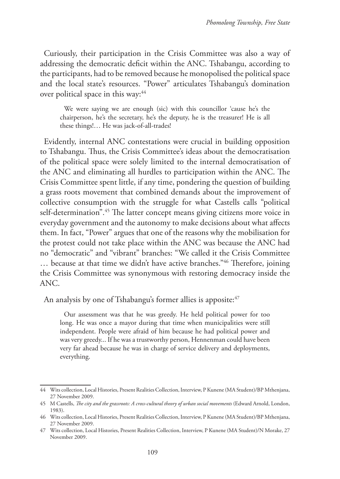Curiously, their participation in the Crisis Committee was also a way of addressing the democratic deficit within the ANC. Tshabangu, according to the participants, had to be removed because he monopolised the political space and the local state's resources. "Power" articulates Tshabangu's domination over political space in this way:<sup>44</sup>

We were saying we are enough (sic) with this councillor 'cause he's the chairperson, he's the secretary, he's the deputy, he is the treasurer! He is all these things!… He was jack-of-all-trades!

Evidently, internal ANC contestations were crucial in building opposition to Tshabangu. Thus, the Crisis Committee's ideas about the democratisation of the political space were solely limited to the internal democratisation of the ANC and eliminating all hurdles to participation within the ANC. The Crisis Committee spent little, if any time, pondering the question of building a grass roots movement that combined demands about the improvement of collective consumption with the struggle for what Castells calls "political self-determination".<sup>45</sup> The latter concept means giving citizens more voice in everyday government and the autonomy to make decisions about what affects them. In fact, "Power" argues that one of the reasons why the mobilisation for the protest could not take place within the ANC was because the ANC had no "democratic" and "vibrant" branches: "We called it the Crisis Committee … because at that time we didn't have active branches."46 Therefore, joining the Crisis Committee was synonymous with restoring democracy inside the ANC.

An analysis by one of Tshabangu's former allies is apposite:<sup>47</sup>

Our assessment was that he was greedy. He held political power for too long. He was once a mayor during that time when municipalities were still independent. People were afraid of him because he had political power and was very greedy... If he was a trustworthy person, Hennenman could have been very far ahead because he was in charge of service delivery and deployments, everything.

<sup>44</sup> Wits collection, Local Histories, Present Realities Collection, Interview, P Kunene (MA Student)/BP Mthenjana, 27 November 2009.

<sup>45</sup> M Castells, *The city and the grassroots: A cross-cultural theory of urban social movements* (Edward Arnold, London, 1983).

<sup>46</sup> Wits collection, Local Histories, Present Realities Collection, Interview, P Kunene (MA Student)/BP Mthenjana, 27 November 2009.

<sup>47</sup> Wits collection, Local Histories, Present Realities Collection, Interview, P Kunene (MA Student)/N Morake, 27 November 2009.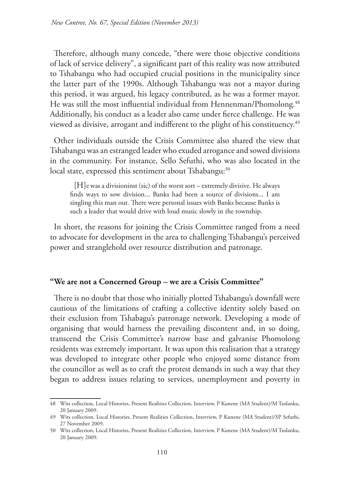Therefore, although many concede, "there were those objective conditions of lack of service delivery", a significant part of this reality was now attributed to Tshabangu who had occupied crucial positions in the municipality since the latter part of the 1990s. Although Tshabangu was not a mayor during this period, it was argued, his legacy contributed, as he was a former mayor. He was still the most influential individual from Hennenman/Phomolong.<sup>48</sup> Additionally, his conduct as a leader also came under fierce challenge. He was viewed as divisive, arrogant and indifferent to the plight of his constituency.<sup>49</sup>

Other individuals outside the Crisis Committee also shared the view that Tshabangu was an estranged leader who exuded arrogance and sowed divisions in the community. For instance, Sello Sefuthi, who was also located in the local state, expressed this sentiment about Tshabangu:<sup>50</sup>

[H]e was a divisioninst (sic) of the worst sort – extremely divisive. He always finds ways to sow division... Banks had been a source of divisions... I am singling this man out. There were personal issues with Banks because Banks is such a leader that would drive with loud music slowly in the township.

In short, the reasons for joining the Crisis Committee ranged from a need to advocate for development in the area to challenging Tshabangu's perceived power and stranglehold over resource distribution and patronage.

# **"We are not a Concerned Group – we are a Crisis Committee"**

There is no doubt that those who initially plotted Tshabangu's downfall were cautious of the limitations of crafting a collective identity solely based on their exclusion from Tshabagu's patronage network. Developing a mode of organising that would harness the prevailing discontent and, in so doing, transcend the Crisis Committee's narrow base and galvanise Phomolong residents was extremely important. It was upon this realisation that a strategy was developed to integrate other people who enjoyed some distance from the councillor as well as to craft the protest demands in such a way that they began to address issues relating to services, unemployment and poverty in

<sup>48</sup> Wits collection, Local Histories, Present Realities Collection, Interview, P Kunene (MA Student)/M Tsolanku, 20 January 2009.

<sup>49</sup> Wits collection, Local Histories, Present Realities Collection, Interview, P Kunene (MA Student)/SP Sefuthi, 27 November 2009.

<sup>50</sup> Wits collection, Local Histories, Present Realities Collection, Interview, P Kunene (MA Student)/M Tsolanku, 20 January 2009.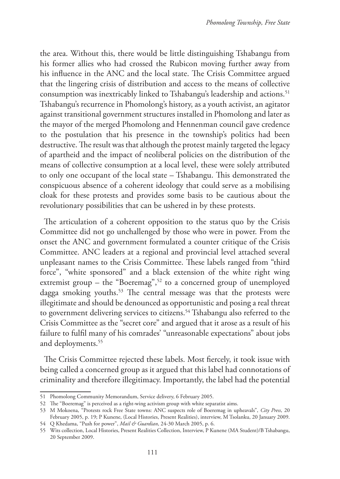the area. Without this, there would be little distinguishing Tshabangu from his former allies who had crossed the Rubicon moving further away from his influence in the ANC and the local state. The Crisis Committee argued that the lingering crisis of distribution and access to the means of collective consumption was inextricably linked to Tshabangu's leadership and actions.<sup>51</sup> Tshabangu's recurrence in Phomolong's history, as a youth activist, an agitator against transitional government structures installed in Phomolong and later as the mayor of the merged Phomolong and Hennenman council gave credence to the postulation that his presence in the township's politics had been destructive. The result was that although the protest mainly targeted the legacy of apartheid and the impact of neoliberal policies on the distribution of the means of collective consumption at a local level, these were solely attributed to only one occupant of the local state – Tshabangu. This demonstrated the conspicuous absence of a coherent ideology that could serve as a mobilising cloak for these protests and provides some basis to be cautious about the revolutionary possibilities that can be ushered in by these protests.

The articulation of a coherent opposition to the status quo by the Crisis Committee did not go unchallenged by those who were in power. From the onset the ANC and government formulated a counter critique of the Crisis Committee. ANC leaders at a regional and provincial level attached several unpleasant names to the Crisis Committee. These labels ranged from "third force", "white sponsored" and a black extension of the white right wing extremist group – the "Boeremag",<sup>52</sup> to a concerned group of unemployed dagga smoking youths.<sup>53</sup> The central message was that the protests were illegitimate and should be denounced as opportunistic and posing a real threat to government delivering services to citizens.<sup>54</sup> Tshabangu also referred to the Crisis Committee as the "secret core" and argued that it arose as a result of his failure to fulfil many of his comrades' "unreasonable expectations" about jobs and deployments.<sup>55</sup>

The Crisis Committee rejected these labels. Most fiercely, it took issue with being called a concerned group as it argued that this label had connotations of criminality and therefore illegitimacy. Importantly, the label had the potential

<sup>51</sup> Phomolong Community Memorandum, Service delivery, 6 February 2005.

<sup>52</sup> The "Boeremag" is perceived as a right-wing activism group with white separatist aims.

<sup>53</sup> M Mokoena, "Protests rock Free State towns: ANC suspects role of Boeremag in upheavals", *City Press*, 20 February 2005, p. 19; P Kunene, (Local Histories, Present Realities), interview, M Tsolanku, 20 January 2009.

<sup>54</sup> Q Khedama, "Push for power", *Mail & Guardian*, 24-30 March 2005, p. 6.

<sup>55</sup> Wits collection, Local Histories, Present Realities Collection, Interview, P Kunene (MA Student)/B Tshabangu, 20 September 2009.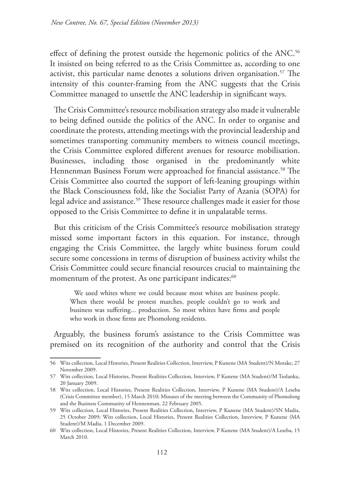effect of defining the protest outside the hegemonic politics of the ANC.<sup>56</sup> It insisted on being referred to as the Crisis Committee as, according to one activist, this particular name denotes a solutions driven organisation.<sup>57</sup> The intensity of this counter-framing from the ANC suggests that the Crisis Committee managed to unsettle the ANC leadership in significant ways.

The Crisis Committee's resource mobilisation strategy also made it vulnerable to being defined outside the politics of the ANC. In order to organise and coordinate the protests, attending meetings with the provincial leadership and sometimes transporting community members to witness council meetings, the Crisis Committee explored different avenues for resource mobilisation. Businesses, including those organised in the predominantly white Hennenman Business Forum were approached for financial assistance.<sup>58</sup> The Crisis Committee also courted the support of left-leaning groupings within the Black Consciousness fold, like the Socialist Party of Azania (SOPA) for legal advice and assistance.<sup>59</sup> These resource challenges made it easier for those opposed to the Crisis Committee to define it in unpalatable terms.

But this criticism of the Crisis Committee's resource mobilisation strategy missed some important factors in this equation. For instance, through engaging the Crisis Committee, the largely white business forum could secure some concessions in terms of disruption of business activity whilst the Crisis Committee could secure financial resources crucial to maintaining the momentum of the protest. As one participant indicates:<sup>60</sup>

We used whites where we could because most whites are business people. When there would be protest marches, people couldn't go to work and business was suffering... production. So most whites have firms and people who work in those firms are Phomolong residents.

Arguably, the business forum's assistance to the Crisis Committee was premised on its recognition of the authority and control that the Crisis

<sup>56</sup> Wits collection, Local Histories, Present Realities Collection, Interview, P Kunene (MA Student)/N Morake, 27 November 2009.

<sup>57</sup> Wits collection, Local Histories, Present Realities Collection, Interview, P Kunene (MA Student)/M Tsolanku, 20 January 2009.

<sup>58</sup> Wits collection, Local Histories, Present Realities Collection, Interview, P Kunene (MA Student)/A Leseba (Crisis Committee member), 15 March 2010; Minutes of the meeting between the Community of Phomolong and the Business Community of Hennenman, 22 February 2005.

<sup>59</sup> Wits collection, Local Histories, Present Realities Collection, Interview, P Kunene (MA Student)/SN Madia, 25 October 2009; Wits collection, Local Histories, Present Realities Collection, Interview, P Kunene (MA Student)/M Madia, 1 December 2009.

<sup>60</sup> Wits collection, Local Histories, Present Realities Collection, Interview, P Kunene (MA Student)/A Leseba, 15 March 2010.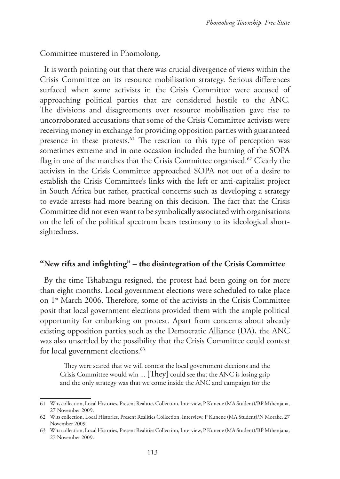Committee mustered in Phomolong.

It is worth pointing out that there was crucial divergence of views within the Crisis Committee on its resource mobilisation strategy. Serious differences surfaced when some activists in the Crisis Committee were accused of approaching political parties that are considered hostile to the ANC. The divisions and disagreements over resource mobilisation gave rise to uncorroborated accusations that some of the Crisis Committee activists were receiving money in exchange for providing opposition parties with guaranteed presence in these protests.<sup>61</sup> The reaction to this type of perception was sometimes extreme and in one occasion included the burning of the SOPA flag in one of the marches that the Crisis Committee organised.<sup>62</sup> Clearly the activists in the Crisis Committee approached SOPA not out of a desire to establish the Crisis Committee's links with the left or anti-capitalist project in South Africa but rather, practical concerns such as developing a strategy to evade arrests had more bearing on this decision. The fact that the Crisis Committee did not even want to be symbolically associated with organisations on the left of the political spectrum bears testimony to its ideological shortsightedness.

## **"New rifts and infighting" – the disintegration of the Crisis Committee**

By the time Tshabangu resigned, the protest had been going on for more than eight months. Local government elections were scheduled to take place on 1<sup>st</sup> March 2006. Therefore, some of the activists in the Crisis Committee posit that local government elections provided them with the ample political opportunity for embarking on protest. Apart from concerns about already existing opposition parties such as the Democratic Alliance (DA), the ANC was also unsettled by the possibility that the Crisis Committee could contest for local government elections.<sup>63</sup>

They were scared that we will contest the local government elections and the Crisis Committee would win ... [They] could see that the ANC is losing grip and the only strategy was that we come inside the ANC and campaign for the

<sup>61</sup> Wits collection, Local Histories, Present Realities Collection, Interview, P Kunene (MA Student)/BP Mthenjana, 27 November 2009.

<sup>62</sup> Wits collection, Local Histories, Present Realities Collection, Interview, P Kunene (MA Student)/N Morake, 27 November 2009.

<sup>63</sup> Wits collection, Local Histories, Present Realities Collection, Interview, P Kunene (MA Student)/BP Mthenjana, 27 November 2009.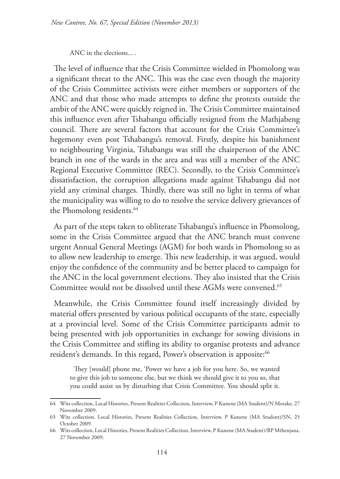ANC in the elections... .

The level of influence that the Crisis Committee wielded in Phomolong was a significant threat to the ANC. This was the case even though the majority of the Crisis Committee activists were either members or supporters of the ANC and that those who made attempts to define the protests outside the ambit of the ANC were quickly reigned in. The Crisis Committee maintained this influence even after Tshabangu officially resigned from the Mathjabeng council. There are several factors that account for the Crisis Committee's hegemony even post Tshabangu's removal. Firstly, despite his banishment to neighbouring Virginia, Tshabangu was still the chairperson of the ANC branch in one of the wards in the area and was still a member of the ANC Regional Executive Committee (REC). Secondly, to the Crisis Committee's dissatisfaction, the corruption allegations made against Tshabangu did not yield any criminal charges. Thirdly, there was still no light in terms of what the municipality was willing to do to resolve the service delivery grievances of the Phomolong residents.<sup>64</sup>

As part of the steps taken to obliterate Tshabangu's influence in Phomolong, some in the Crisis Committee argued that the ANC branch must convene urgent Annual General Meetings (AGM) for both wards in Phomolong so as to allow new leadership to emerge. This new leadership, it was argued, would enjoy the confidence of the community and be better placed to campaign for the ANC in the local government elections. They also insisted that the Crisis Committee would not be dissolved until these AGMs were convened.<sup>65</sup>

Meanwhile, the Crisis Committee found itself increasingly divided by material offers presented by various political occupants of the state, especially at a provincial level. Some of the Crisis Committee participants admit to being presented with job opportunities in exchange for sowing divisions in the Crisis Committee and stifling its ability to organise protests and advance resident's demands. In this regard, Power's observation is apposite:<sup>66</sup>

They [would] phone me, 'Power we have a job for you here. So, we wanted to give this job to someone else, but we think we should give it to you so, that you could assist us by disturbing that Crisis Committee. You should split it.

<sup>64</sup> Wits collection, Local Histories, Present Realities Collection, Interview, P Kunene (MA Student)/N Morake, 27 November 2009.

<sup>65</sup> Wits collection, Local Histories, Present Realities Collection, Interview, P Kunene (MA Student)/SN, 25 October 2009.

<sup>66</sup> Wits collection, Local Histories, Present Realities Collection, Interview, P Kunene (MA Student)/BP Mthenjana, 27 November 2009.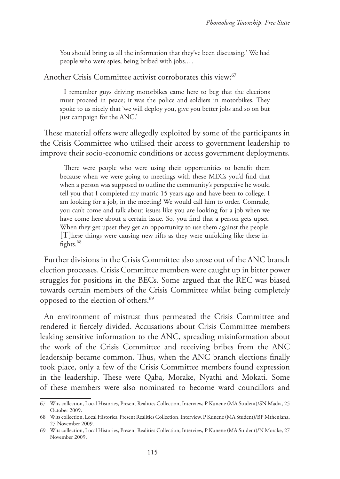You should bring us all the information that they've been discussing.' We had people who were spies, being bribed with jobs... .

Another Crisis Committee activist corroborates this view:<sup>67</sup>

I remember guys driving motorbikes came here to beg that the elections must proceed in peace; it was the police and soldiers in motorbikes. They spoke to us nicely that 'we will deploy you, give you better jobs and so on but just campaign for the ANC.'

These material offers were allegedly exploited by some of the participants in the Crisis Committee who utilised their access to government leadership to improve their socio-economic conditions or access government deployments.

There were people who were using their opportunities to benefit them because when we were going to meetings with these MECs you'd find that when a person was supposed to outline the community's perspective he would tell you that I completed my matric 15 years ago and have been to college. I am looking for a job, in the meeting! We would call him to order. Comrade, you can't come and talk about issues like you are looking for a job when we have come here about a certain issue. So, you find that a person gets upset. When they get upset they get an opportunity to use them against the people. [T]hese things were causing new rifts as they were unfolding like these infights.<sup>68</sup>

Further divisions in the Crisis Committee also arose out of the ANC branch election processes. Crisis Committee members were caught up in bitter power struggles for positions in the BECs. Some argued that the REC was biased towards certain members of the Crisis Committee whilst being completely opposed to the election of others.<sup>69</sup>

An environment of mistrust thus permeated the Crisis Committee and rendered it fiercely divided. Accusations about Crisis Committee members leaking sensitive information to the ANC, spreading misinformation about the work of the Crisis Committee and receiving bribes from the ANC leadership became common. Thus, when the ANC branch elections finally took place, only a few of the Crisis Committee members found expression in the leadership. These were Qaba, Morake, Nyathi and Mokati. Some of these members were also nominated to become ward councillors and

<sup>67</sup> Wits collection, Local Histories, Present Realities Collection, Interview, P Kunene (MA Student)/SN Madia, 25 October 2009.

<sup>68</sup> Wits collection, Local Histories, Present Realities Collection, Interview, P Kunene (MA Student)/BP Mthenjana, 27 November 2009.

<sup>69</sup> Wits collection, Local Histories, Present Realities Collection, Interview, P Kunene (MA Student)/N Morake, 27 November 2009.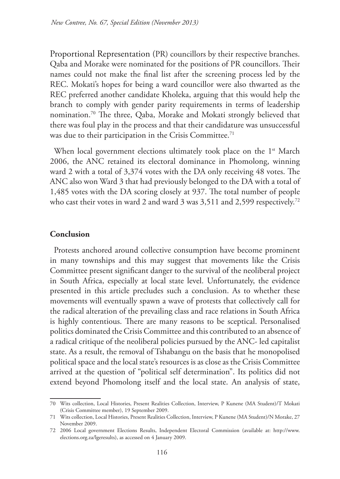Proportional Representation (PR) councillors by their respective branches. Qaba and Morake were nominated for the positions of PR councillors. Their names could not make the final list after the screening process led by the REC. Mokati's hopes for being a ward councillor were also thwarted as the REC preferred another candidate Kholeka, arguing that this would help the branch to comply with gender parity requirements in terms of leadership nomination.70 The three, Qaba, Morake and Mokati strongly believed that there was foul play in the process and that their candidature was unsuccessful was due to their participation in the Crisis Committee.<sup>71</sup>

When local government elections ultimately took place on the 1<sup>st</sup> March 2006, the ANC retained its electoral dominance in Phomolong, winning ward 2 with a total of 3,374 votes with the DA only receiving 48 votes. The ANC also won Ward 3 that had previously belonged to the DA with a total of 1,485 votes with the DA scoring closely at 937. The total number of people who cast their votes in ward 2 and ward 3 was 3,511 and 2,599 respectively.<sup>72</sup>

# **Conclusion**

Protests anchored around collective consumption have become prominent in many townships and this may suggest that movements like the Crisis Committee present significant danger to the survival of the neoliberal project in South Africa, especially at local state level. Unfortunately, the evidence presented in this article precludes such a conclusion. As to whether these movements will eventually spawn a wave of protests that collectively call for the radical alteration of the prevailing class and race relations in South Africa is highly contentious. There are many reasons to be sceptical. Personalised politics dominated the Crisis Committee and this contributed to an absence of a radical critique of the neoliberal policies pursued by the ANC- led capitalist state. As a result, the removal of Tshabangu on the basis that he monopolised political space and the local state's resources is as close as the Crisis Committee arrived at the question of "political self determination". Its politics did not extend beyond Phomolong itself and the local state. An analysis of state,

<sup>70</sup> Wits collection, Local Histories, Present Realities Collection, Interview, P Kunene (MA Student)/T Mokati (Crisis Committee member), 19 September 2009.

<sup>71</sup> Wits collection, Local Histories, Present Realities Collection, Interview, P Kunene (MA Student)/N Morake, 27 November 2009.

<sup>72</sup> 2006 Local government Elections Results, Independent Electoral Commission (available at: http://www. elections.org.za/lgeresults), as accessed on 4 January 2009.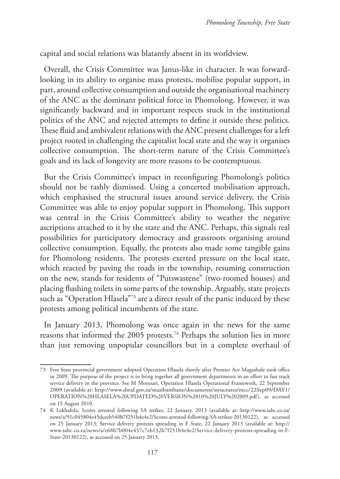capital and social relations was blatantly absent in its worldview.

Overall, the Crisis Committee was Janus-like in character. It was forwardlooking in its ability to organise mass protests, mobilise popular support, in part, around collective consumption and outside the organisational machinery of the ANC as the dominant political force in Phomolong. However, it was significantly backward and in important respects stuck in the institutional politics of the ANC and rejected attempts to define it outside these politics. These fluid and ambivalent relations with the ANC present challenges for a left project rooted in challenging the capitalist local state and the way it organises collective consumption. The short-term nature of the Crisis Committee's goals and its lack of longevity are more reasons to be contemptuous.

But the Crisis Committee's impact in reconfiguring Phomolong's politics should not be rashly dismissed. Using a concerted mobilisation approach, which emphasised the structural issues around service delivery, the Crisis Committee was able to enjoy popular support in Phomolong. This support was central in the Crisis Committee's ability to weather the negative ascriptions attached to it by the state and the ANC. Perhaps, this signals real possibilities for participatory democracy and grassroots organising around collective consumption. Equally, the protests also made some tangible gains for Phomolong residents. The protests exerted pressure on the local state, which reacted by paving the roads in the township, resuming construction on the new, stands for residents of "Putswastene" (two-roomed houses) and placing flushing toilets in some parts of the township. Arguably, state projects such as "Operation Hlasela"<sup>73</sup> are a direct result of the panic induced by these protests among political incumbents of the state.

In January 2013, Phomolong was once again in the news for the same reasons that informed the 2005 protests.<sup>74</sup> Perhaps the solution lies in more than just removing unpopular councillors but in a complete overhaul of

<sup>73</sup> Free State provincial government adopted Operation Hlasela shortly after Premier Ace Magashule took office in 2009. The purpose of the project is to bring together all government departments in an effort to fast track service delivery in the province. See M Motsoari, Operation Hlasela Operational Framework, 22 September 2009 (available at: http://www.dwaf.gov.za/masibambane/documents/structures/mcc/22Sep09/DAY1/ OPERATION%20HLASELA%20UPDATED%20VERSION%2010%20JULY%202009.pdf), as accessed on 15 August 2010.

<sup>74</sup> K Lekhafola, Scores arrested following SA strikes, 22 January, 2013 (available at: http://www.sabc.co.za/ news/a/91c045804e45dceeb540b7f251b4e4e2/Scores-arrested-following-SA-strikes-20130122), as accessed on 25 January 2013; Service delivery protests spreading in F State, 22 January 2013 (available at: http:// www.sabc.co.za/news/a/e68b7b004e457c7eb132b7f251b4e4e2/Service-delivery-protests-spreading-in-F-State-20130122), as accessed on 25 January 2013.